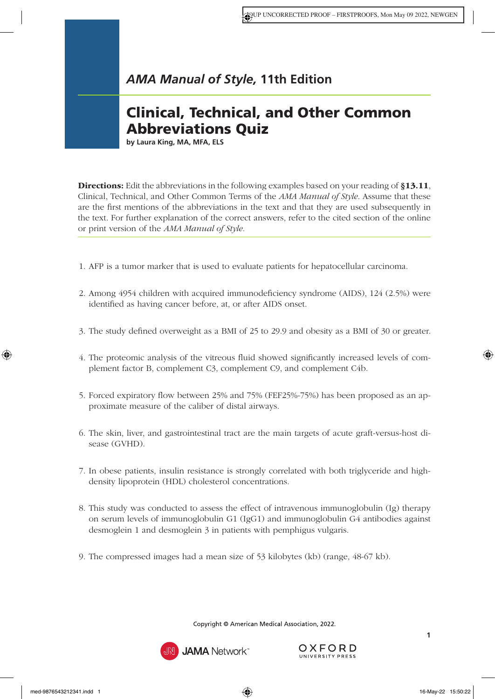## Clinical, Technical, and Other Common Abbreviations Quiz

**by Laura King, MA, MFA, ELS**

**Directions:** Edit the abbreviations in the following examples based on your reading of [§13.11](https://www.amamanualofstyle.com/view/10.1093/jama/9780190246556.001.0001/med-9780190246556-chapter-13-div1-48), [Clinical, Technical, and Other Common Terms](https://www.amamanualofstyle.com/view/10.1093/jama/9780190246556.001.0001/med-9780190246556-chapter-13-div1-48) of the *AMA Manual of Style*. Assume that these are the first mentions of the abbreviations in the text and that they are used subsequently in the text. For further explanation of the correct answers, refer to the cited section of the online or print version of the *AMA Manual of Style*.

- 1. AFP is a tumor marker that is used to evaluate patients for hepatocellular carcinoma.
- 2. Among 4954 children with acquired immunodeficiency syndrome (AIDS), 124 (2.5%) were identified as having cancer before, at, or after AIDS onset.
- 3. The study defined overweight as a BMI of 25 to 29.9 and obesity as a BMI of 30 or greater.
- 4. The proteomic analysis of the vitreous fluid showed significantly increased levels of complement factor B, complement C3, complement C9, and complement C4b.
- 5. Forced expiratory flow between 25% and 75% (FEF25%-75%) has been proposed as an approximate measure of the caliber of distal airways.
- 6. The skin, liver, and gastrointestinal tract are the main targets of acute graft-versus-host disease (GVHD).
- 7. In obese patients, insulin resistance is strongly correlated with both triglyceride and highdensity lipoprotein (HDL) cholesterol concentrations.
- 8. This study was conducted to assess the effect of intravenous immunoglobulin (Ig) therapy on serum levels of immunoglobulin G1 (IgG1) and immunoglobulin G4 antibodies against desmoglein 1 and desmoglein 3 in patients with pemphigus vulgaris.
- 9. The compressed images had a mean size of 53 kilobytes (kb) (range, 48-67 kb).

Copyright © American Medical Association, 2022.